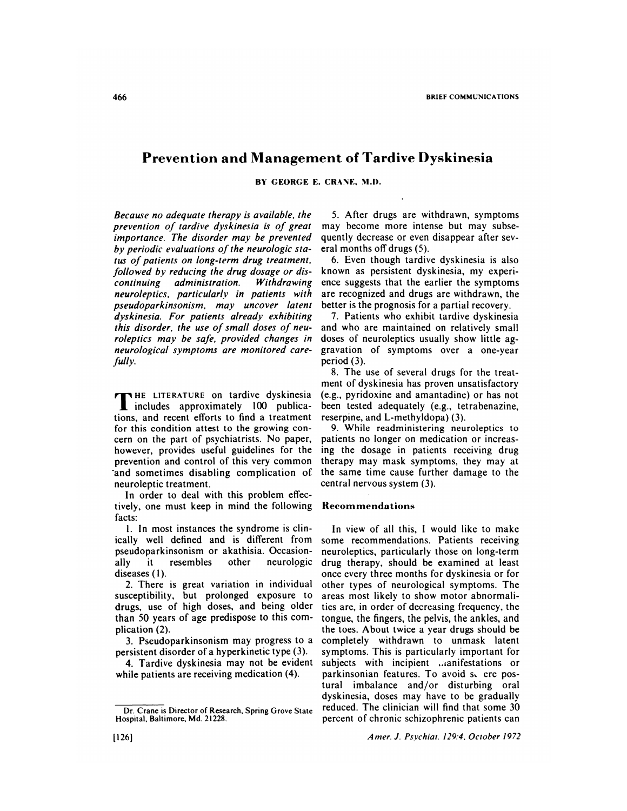# **Prevention and Management of Tardive Dyskinesia**

**BY GEORGE E. CRANE, M.D.**

*Because no adequate therapy is available, the* prevention of tardive dyskinesia is of great *importance. The disorder may be prevented* by periodic evaluations of the neurologic status of patients on long-term drug treatment, followed by reducing the drug dosage or dis*continuing administration. Withdrawing neuroleptics, particular/v in patients with pseudoparkinsonism, may uncover latent dyskinesia. For patients already exhibiting* this disorder, the *use of* small doses of neu*roleptics may be safe, provided changes in neurological symptoms are monitored care* fully.

**T HE LITERATURE** on tardive dyskinesia includes approximately 100 publications, and recent efforts to find a treatment for this condition attest to the growing con cern on the part of psychiatrists. No paper, however, provides useful guidelines for the prevention and control of this very common and sometimes disabling complication of neuroleptic treatment.

In order to deal with this problem effectively, one must keep in mind the following facts:

1. In most instances the syndrome is clinically well defined and is different from pseudoparkinsonism or akathisia. Occasionally it resembles other neurologic diseases (I).

2. There is great variation in individual susceptibility, but prolonged exposure to drugs, use of high doses, and being older than 50 years of age predispose to this com plication (2).

3. Pseudoparkinsonism may progress to a persistent disorder of a hyperkinetic type (3).

4. Tardive dyskinesia may not be evident while patients are receiving medication  $(4)$ .

*5.* After drugs are withdrawn, symptoms may become more intense but may subsequently decrease or even disappear after sev eral months off drugs (5).

6. Even though tardive dyskinesia is also known as persistent dyskinesia, my experi ence suggests that the earlier the symptoms are recognized and drugs are withdrawn, the better is the prognosis for a partial recovery.

7. Patients who exhibit tardive dyskinesia and who are maintained on relatively small doses of neuroleptics usually show little aggravation of symptoms over a one-year period (3).

8. The use of several drugs for the treatment of dyskinesia has proven unsatisfactory (e.g., pyridoxine and amantadine) or has not been tested adequately (e.g., tetrabenazine, reserpine, and L-methyldopa) (3).

9. While readministering **neuroleptics to** patients no longer on medication or increasing the dosage in patients receiving drug therapy may mask symptoms, they may at the same time cause further damage to the central nervous system (3).

### **Recom menda t ions**

In view of all this, I would like to make some recommendations. Patients receiving neuroleptics, particularly those on long-term drug therapy, should be examined at least once every three months for dyskinesia or for other types of neurological symptoms. The areas most likely to show motor abnormalities are, in order of decreasing frequency, the tongue, the fingers, the pelvis, the ankles, and the toes. About twice a year drugs should be completely withdrawn to unmask latent symptoms. This is particularly important for subjects with incipient *manifestations* or parkinsonian features. To avoid s. ere postural imbalance and/or disturbing oral dyskinesia, doses may have to be gradually reduced. The clinician will find that some 30 percent of chronic schizophrenic patients can

Dr. Crane is Director of **Research, Spring Grove State** Hospital, Baltimore, Md. 21228.